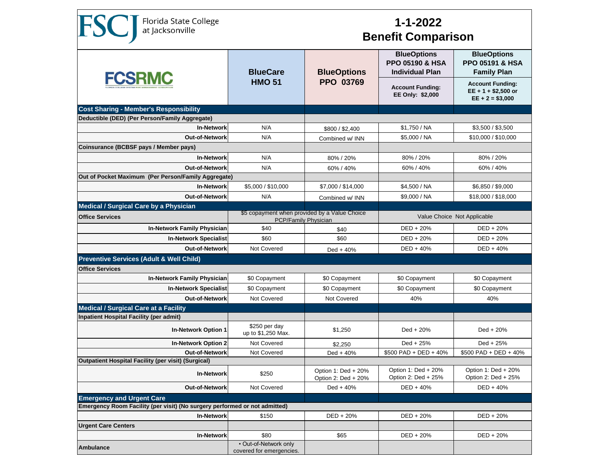Florida State College<br>at Jacksonville

**FSC** 

## **1-1-2022 Benefit Comparison**

| <b>FCSRMC</b>                                                                | <b>BlueCare</b><br><b>HMO 51</b>                                      | <b>BlueOptions</b><br>PPO 03769            | <b>BlueOptions</b><br><b>PPO 05190 &amp; HSA</b><br><b>Individual Plan</b> | <b>BlueOptions</b><br><b>PPO 05191 &amp; HSA</b><br><b>Family Plan</b> |  |  |
|------------------------------------------------------------------------------|-----------------------------------------------------------------------|--------------------------------------------|----------------------------------------------------------------------------|------------------------------------------------------------------------|--|--|
|                                                                              |                                                                       |                                            | <b>Account Funding:</b><br>EE Only: \$2,000                                | <b>Account Funding:</b><br>$EE + 1 + $2,500$ or<br>$EE + 2 = $3,000$   |  |  |
| <b>Cost Sharing - Member's Responsibility</b>                                |                                                                       |                                            |                                                                            |                                                                        |  |  |
| Deductible (DED) (Per Person/Family Aggregate)                               |                                                                       |                                            |                                                                            |                                                                        |  |  |
| <b>In-Network</b><br><b>Out-of-Network</b>                                   | N/A                                                                   | \$800 / \$2,400                            | \$1,750 / NA                                                               | \$3,500 / \$3,500                                                      |  |  |
| Coinsurance (BCBSF pays / Member pays)                                       | N/A                                                                   | Combined w/ INN                            | \$5,000 / NA                                                               | \$10.000 / \$10.000                                                    |  |  |
|                                                                              |                                                                       |                                            |                                                                            |                                                                        |  |  |
| <b>In-Network</b>                                                            | N/A                                                                   | 80% / 20%                                  | 80% / 20%                                                                  | 80% / 20%                                                              |  |  |
| <b>Out-of-Network</b><br>Out of Pocket Maximum (Per Person/Family Aggregate) | N/A                                                                   | 60% / 40%                                  | 60% / 40%                                                                  | 60% / 40%                                                              |  |  |
| <b>In-Network</b>                                                            | \$5,000 / \$10,000                                                    | \$7,000 / \$14,000                         | \$4,500 / NA                                                               | \$6,850 / \$9,000                                                      |  |  |
| Out-of-Network                                                               | N/A                                                                   | Combined w/ INN                            | \$9,000 / NA                                                               | \$18,000 / \$18,000                                                    |  |  |
| <b>Medical / Surgical Care by a Physician</b>                                |                                                                       |                                            |                                                                            |                                                                        |  |  |
| <b>Office Services</b>                                                       | \$5 copayment when provided by a Value Choice<br>PCP/Family Physician |                                            | Value Choice Not Applicable                                                |                                                                        |  |  |
| <b>In-Network Family Physician</b>                                           | \$40                                                                  | \$40                                       | DED + 20%                                                                  | $DED + 20%$                                                            |  |  |
| <b>In-Network Specialist</b>                                                 | \$60                                                                  | \$60                                       | $DED + 20%$                                                                | $DED + 20%$                                                            |  |  |
| Out-of-Network                                                               | <b>Not Covered</b>                                                    | $Ded + 40%$                                | $DED + 40%$                                                                | $DED + 40%$                                                            |  |  |
| <b>Preventive Services (Adult &amp; Well Child)</b>                          |                                                                       |                                            |                                                                            |                                                                        |  |  |
| <b>Office Services</b>                                                       |                                                                       |                                            |                                                                            |                                                                        |  |  |
| <b>In-Network Family Physician</b>                                           | \$0 Copayment                                                         | \$0 Copayment                              | \$0 Copayment                                                              | \$0 Copayment                                                          |  |  |
| <b>In-Network Specialist</b>                                                 | \$0 Copayment                                                         | \$0 Copayment                              | \$0 Copayment                                                              | \$0 Copayment                                                          |  |  |
| Out-of-Network                                                               | <b>Not Covered</b>                                                    | Not Covered                                | 40%                                                                        | 40%                                                                    |  |  |
| <b>Medical / Surgical Care at a Facility</b>                                 |                                                                       |                                            |                                                                            |                                                                        |  |  |
| Inpatient Hospital Facility (per admit)                                      |                                                                       |                                            |                                                                            |                                                                        |  |  |
| <b>In-Network Option 1</b>                                                   | \$250 per day<br>up to \$1,250 Max.                                   | \$1,250                                    | Ded $+20%$                                                                 | Ded + 20%                                                              |  |  |
| <b>In-Network Option 2</b>                                                   | Not Covered                                                           | \$2,250                                    | Ded + 25%                                                                  | Ded + 25%                                                              |  |  |
| Out-of-Network                                                               | Not Covered                                                           | $Ded + 40%$                                | $$500$ PAD + DED + 40%                                                     | $$500$ PAD + DED + 40%                                                 |  |  |
| <b>Outpatient Hospital Facility (per visit) (Surgical)</b>                   |                                                                       |                                            |                                                                            |                                                                        |  |  |
| <b>In-Network</b>                                                            | \$250                                                                 | Option 1: Ded + 20%<br>Option 2: Ded + 20% | Option 1: Ded + 20%<br>Option 2: Ded + 25%                                 | Option 1: Ded + 20%<br>Option 2: Ded + 25%                             |  |  |
| <b>Out-of-Network</b>                                                        | Not Covered                                                           | Ded + $40%$                                | DED + 40%                                                                  | $DED + 40%$                                                            |  |  |
| <b>Emergency and Urgent Care</b>                                             |                                                                       |                                            |                                                                            |                                                                        |  |  |
| Emergency Room Facility (per visit) (No surgery performed or not admitted)   |                                                                       |                                            |                                                                            |                                                                        |  |  |
| <b>In-Network</b>                                                            | \$150                                                                 | DED + 20%                                  | DED + 20%                                                                  | $DED + 20%$                                                            |  |  |
| <b>Urgent Care Centers</b>                                                   |                                                                       |                                            |                                                                            |                                                                        |  |  |
| <b>In-Network</b>                                                            | \$80<br>• Out-of-Network only                                         | \$65                                       | DED + 20%                                                                  | DED + 20%                                                              |  |  |
| <b>Ambulance</b>                                                             | covered for emergencies.                                              |                                            |                                                                            |                                                                        |  |  |